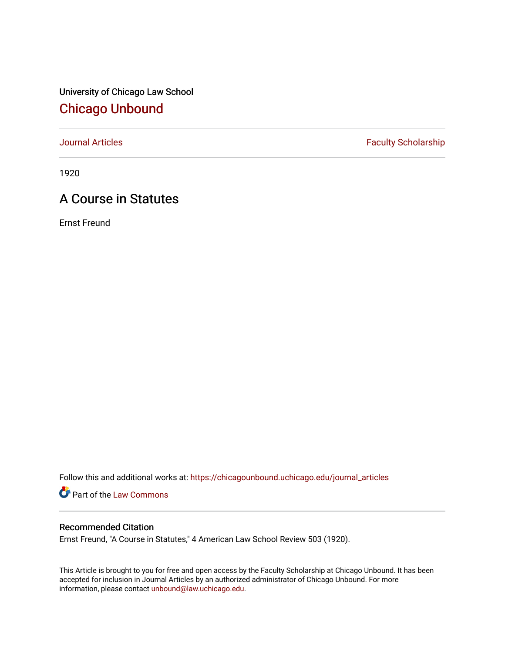University of Chicago Law School [Chicago Unbound](https://chicagounbound.uchicago.edu/)

[Journal Articles](https://chicagounbound.uchicago.edu/journal_articles) **Faculty Scholarship Faculty Scholarship** 

1920

# A Course in Statutes

Ernst Freund

Follow this and additional works at: [https://chicagounbound.uchicago.edu/journal\\_articles](https://chicagounbound.uchicago.edu/journal_articles?utm_source=chicagounbound.uchicago.edu%2Fjournal_articles%2F7790&utm_medium=PDF&utm_campaign=PDFCoverPages) 

**Part of the [Law Commons](http://network.bepress.com/hgg/discipline/578?utm_source=chicagounbound.uchicago.edu%2Fjournal_articles%2F7790&utm_medium=PDF&utm_campaign=PDFCoverPages)** 

## Recommended Citation

Ernst Freund, "A Course in Statutes," 4 American Law School Review 503 (1920).

This Article is brought to you for free and open access by the Faculty Scholarship at Chicago Unbound. It has been accepted for inclusion in Journal Articles by an authorized administrator of Chicago Unbound. For more information, please contact [unbound@law.uchicago.edu](mailto:unbound@law.uchicago.edu).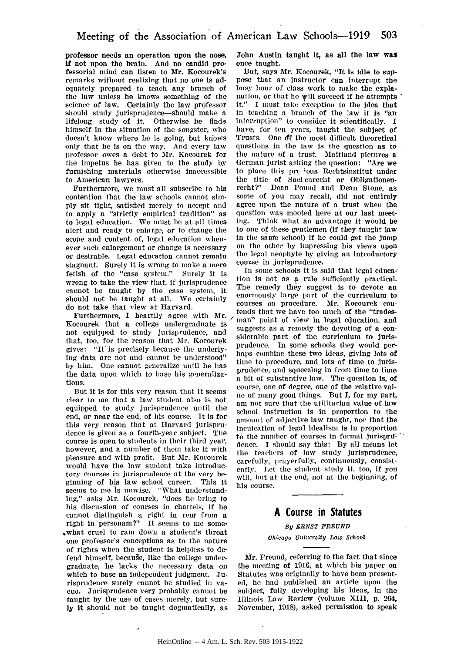professor needs an operation upon the nose, if not upon the brain. And no candid professorial mind can listen to Mr. Kocourek's remarks without realizing that no one is adequately prepared to teach any branch of the law unless he knows something of the science of law. Certainly the law professor should study jurisprudence-should make a lifelong study of it. Otherwise he finds himself in the situation of the songster, who doesn't know where he is going, but knows only that he is on the way. And every law professor owes a debt to Mr. Kocourek for the impetus he has given to the study **by** furnishing materials otherwise inaccessible to American lawyers.

Furthernore, we must all subscribe to his contention that the law schools cannot simply sit tight, satisfied merely to accept and to apply a "strictly empirical tradition" as to legal education. We must be at all times alert and ready to enlarge, or to change the scope and content of, legal education whenever such enlargement or change is necessary or desirable. Legal education cannot remain stagnant. Surely it is wrong to make a mere fetish of the "case system." Surely it is wrong to take the view that, if jurisprudence cannot be taught by the case system, it should not be taught at all. We certainly do not take that view at Harvard.

Furthermore, I heartily agree with Mr. Kocourek that a college undergraduate is not equipped to study jurisprudence, and that, too, for the reason that Mr. Kocourek gives: "It is precisely because the underlying data are not and cannot be understood" by him. One cannot generalize until he has the data upon which to base his generalizations.

But it is for this very reason that it seems clear to me that a law student also is not equipped to study jurisprudence until the end, or near the end, of his course. It is for this very reason that at Harvard jurisprudence is given as a fourth-year subject. The course is open to students in their third year, however, and a number of them take it with pleasure and with profit. But Mr. Kocourek would have the law student take introductory courses in jurisprudence at the very beginning of his law school career. This it seems to me is unwise. "What understanding," asks Mr. Kocourek, "does he bring to his discussion of courses in chattels, if he cannot distinguish a right in rem from a right in personam?" It seems to me some- .what cruel to ram down a student's throat one professor's conceptions as to the nature of rights when the student is helpless to defend himself, because, like the college undergraduate, he lacks the necessary data on which to base an independent judgment. Jurisprudence surely cannot be studied in vacuo. Jurisprudence very probably cannot be taught by the use of cases merely, but surely It should not be taught dogmatically, as

John Austin taught it, as all the law **was** once taught.

But, says Mr. Kocourek, "It Is Idle to suppose that an instructor can Interrupt the busy hour of class work to make the explanation, or that he will succeed if he attempts it." I must take exception to the idea that in teaching a branch of the law it is "an interruption" to consider it scientifically. I have, for ten years, taught the subject of Trusts. One df the most difficult theoretical questions in the law is the question as to the nature of a trust. Maitland pictures a German jurist asking the question: "Are we to place this pre jous Rechtsinstitut under the title of Saclenrecht or Obligationenrecht?" Dean Pound and Dean Stone, as some of you may recall, did not entirely agree upon the nature of a trust when the question was mooted here at our last meeting. Think what an advantage it would be to one of these gentlemen (if they taught law In the sare school) if he could get the jump on the other by impressing his views upon the legal neophyte by giving an introductory course in jurisprudence.

In some schools it is said that legal educa-' tion is not as a rule sufficiently practical. The remedy they suggest is to devote an enormously large part of the curriculum to courses on procedure. Mr. Kocourek contends that we have too much of the "tradesman" point of view in legal education, and suggests as a remedy the devoting of a considerable part of the curriculum to jurisprudence. In some schools they would perhaps combine these two ideas, giving lots of time to procedure, and lots of time to jurisprudence, and squeezing in from time to time a bit of substantive law. The question Is, of course, one of degree, one of the relative value of many good things. But I, for my part, am not sure that the utilitarian value of law school Instruction is in proportion to the nmunt of adjective law taught, nor that the inculcation of legal idealism Is In proportion to the number of courses in formal jurisprudence. I should say this: By all means let the teachers of law study jurisprudence, carefully, prayerfully, continuously, consistently. Let the student study it, too, if **you** will, but at the end, not at the beginning, of his course.

#### **A** Course in Statutes

### *By ERNST FREUND*

#### *chicago University Law School*

Mr. Freund, referring to the fact that since the meeting of 1916, at which his paper on Statutes was originally to have been presented, he had published an article upon the subject, fully developing his ideas, in the Illinois Law Review (volume XIII, p. 264, November, 1918), asked permission to speak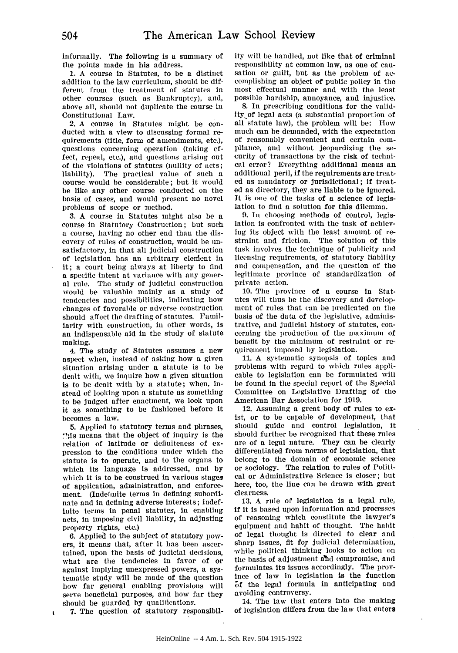informally. The following is a summary of the points made in his address.

1. A course in Statutes, to be a distinct addition to the law curriculum, should **be** different from the treatment of statutes in other courses (such as Bankruptcy), and, above all, should not duplicate the course in Constitutional Law.

2. A course In Statutes might be conducted with a view to discussing formal requirements (title, form of amendments, etc.), questions concerning operation (taking effect, repeal, etc.), and questions arising out of the violations of statutes (nullity of acts; liability). The practical value of such a course would be considerable; but it would be like any other course conducted on the basis of cases, and would present no novel problems of scope or method.

3. A course in Statutes might also be a course in Statutory Construction; but such a course, having no other end than the discovery of rules of construction, would be unsatisfactory, in that all judicial construction of legislation has an arbitrary element in it; a court being always at liberty to find a specific Intent at variance with any general rule. The study of judicial construction would be valuable mainly as a study of tendencies and possibilities, indicating how changes of favorable or adverse construction should affect the drafting of statutes. Familiarity with construction, in other words, is an indispensable aid in the study of statute making.

4. The study of Statutes assumes a new aspect when, instead of asking how a given situation arising under a statute is to be dealt with, we inquire how a given situation is to be dealt with by a statute; when, instead of looking upon a statute as something to be judged after enactment, we look upon it as something to be fashioned before it becomes a law.

5. Applied to statutory terms and phrases, "lis means that the object of inquiry is the relation of latitude or definiteness of expression to the conditions under which the statute is to operate, and to the organs to which its language is addressed, and by which it is to be construed in various stages of application, administration, and enforcement. (Indefinite terms in defining subordinate and in defining adverse interests; indefinite terms in penal statutes, in enabling acts, in imposing civil liability, in adjusting property rights, etc.)

**6.** Applied to the subject of statutory powers, it means that, after It has been ascertained, upon the basis of judicial decisions, what are the tendencies in favor of or against implying unexpressed powers, a systematic study will be made of the question how far general enabling provisions will serve beneficial purposes, and how far they should be guarded by qualifications.

ity will be handled, not like that of criminal responsibility at common law, as one of causation or guilt, but as the problem of accomplishing an object of public policy in the most effectual manner and with the least possible hardship, annoyance, and injustice.

**8.** In prescribing conditions for the valid-Ity-of legal acts (a substantial proportion of all statute law), the problem will be: How much can be demanded, with the expectation of reasonably convenient and certain compliance, and without jeopardizing the se- curity of transactions by the risk of technical error? Everything additional means an additional peril, if the requirements are treated as mandatory or jurisdictional; If treat**ed** as directory, they are liable to be ignored. It is one of the tasks of a science of legislation to find a solution for this dilemma.

9. In choosing methods of control, legislation is confronted with the task of achieving its object with the least amount of restraint and friction. The solution of this task involves the technique of publicity and licensing requirements, of statutory liability and compensation, and the question of the legitimate province of standardization of private action.

10. The province of a course In Statutes will thus be the discovery and development of rules that can be predicated on the basis of the data of the legislative, administrative, and judicial history of statutes, concerning the production of the maximum of benefit by the minimum of restraint or requirement imposed by legislation.

11. A systematic synopsis of topics and problems with regard to which rules applicable to legislation can be formulated will be found in the special report of the Special Committee on Legislative Drafting of the American Bar Association for 1919.

12. Assuming a great body of rules to exist, or to be capable of development, that should guide and control legislation, it should further be recognized that these rules are of a legal nature. They can be clearly differentiated from norms of legislation, that belong to the domain of economic science or sociology. The relation to rules of Political or Administrative Science Is closer; but here, too, the line can be drawn with great clearness.

13. A rule of legislation is a legal rule, **if** it Is based upon information and processes of reasoning which constitute the lawyer's equipment and habit of thought. The habit of legal thought Is directed to clear and sharp issues, fit for judicial determination, while political thinking looks to action on the basis of adjustment ahd compromise, and formulates its issues accordingly. The province of law in legislation is the function **5f** the legal formula in anticipating and avoiding controversy.

14. The law that enters Into the making of legislation differs from the law that enters

 $\mathbf{r}$ 

7. The question of statutory responsibil-